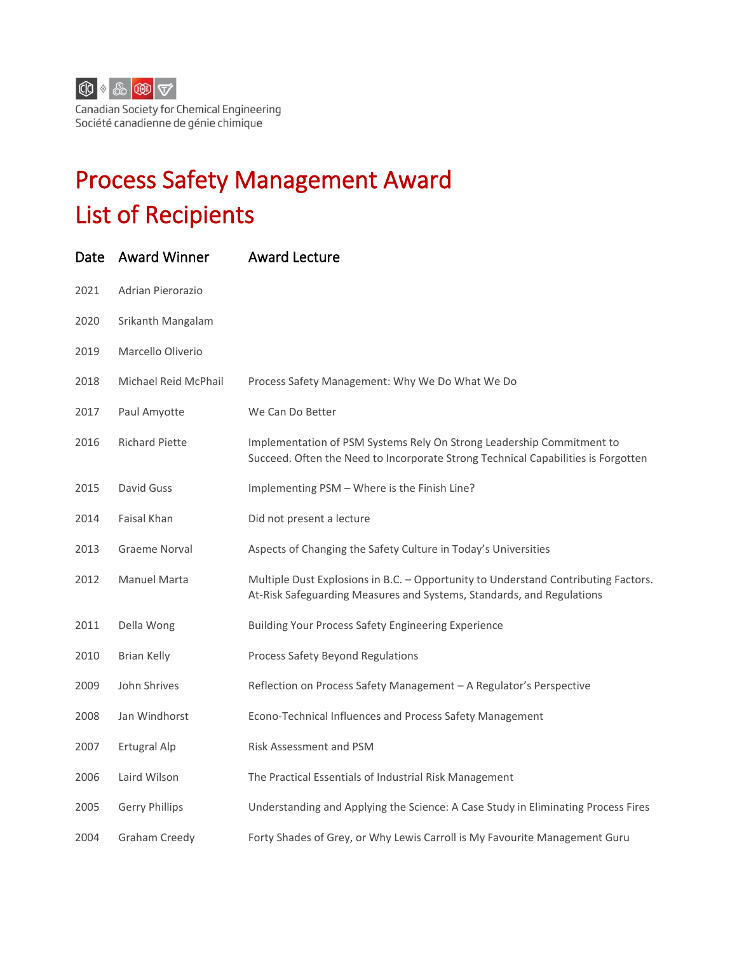

Canadian Society for Chemical Engineering Société canadienne de génie chimique

## Process Safety Management Award List of Recipients

|      | Date Award Winner     | <b>Award Lecture</b>                                                                                                                                        |
|------|-----------------------|-------------------------------------------------------------------------------------------------------------------------------------------------------------|
| 2021 | Adrian Pierorazio     |                                                                                                                                                             |
| 2020 | Srikanth Mangalam     |                                                                                                                                                             |
| 2019 | Marcello Oliverio     |                                                                                                                                                             |
| 2018 | Michael Reid McPhail  | Process Safety Management: Why We Do What We Do                                                                                                             |
| 2017 | Paul Amyotte          | We Can Do Better                                                                                                                                            |
| 2016 | <b>Richard Piette</b> | Implementation of PSM Systems Rely On Strong Leadership Commitment to<br>Succeed. Often the Need to Incorporate Strong Technical Capabilities is Forgotten  |
| 2015 | David Guss            | Implementing PSM - Where is the Finish Line?                                                                                                                |
| 2014 | Faisal Khan           | Did not present a lecture                                                                                                                                   |
| 2013 | <b>Graeme Norval</b>  | Aspects of Changing the Safety Culture in Today's Universities                                                                                              |
| 2012 | <b>Manuel Marta</b>   | Multiple Dust Explosions in B.C. - Opportunity to Understand Contributing Factors.<br>At-Risk Safeguarding Measures and Systems, Standards, and Regulations |
| 2011 | Della Wong            | Building Your Process Safety Engineering Experience                                                                                                         |
| 2010 | <b>Brian Kelly</b>    | Process Safety Beyond Regulations                                                                                                                           |
| 2009 | John Shrives          | Reflection on Process Safety Management - A Regulator's Perspective                                                                                         |
| 2008 | Jan Windhorst         | Econo-Technical Influences and Process Safety Management                                                                                                    |
| 2007 | <b>Ertugral Alp</b>   | Risk Assessment and PSM                                                                                                                                     |
| 2006 | Laird Wilson          | The Practical Essentials of Industrial Risk Management                                                                                                      |
| 2005 | <b>Gerry Phillips</b> | Understanding and Applying the Science: A Case Study in Eliminating Process Fires                                                                           |
| 2004 | Graham Creedy         | Forty Shades of Grey, or Why Lewis Carroll is My Favourite Management Guru                                                                                  |